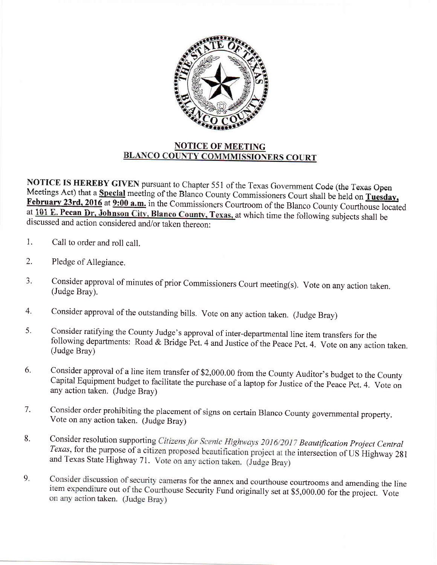

## **NOTICE OF MEETING BLANCO COUNTY COMMMISSIONERS COURT**

NOTICE IS HEREBY GIVEN pursuant to Chapter 551 of the Texas Government Code (the Texas Open Meetings Act) that a Special meeting of the Blanco County Commissioners Court shall be held on Tuesday, February 23rd, 2016 at 9:00 a.m. in the Commissioners Courtroom of the Blanco County Courthouse located at 101 E. Pecan Dr, Johnson City, Blanco County, Texas, at which time the following subjects shall be discussed and action considered and/or taken thereon:

- Call to order and roll call.  $1.$
- $2.$ Pledge of Allegiance.
- Consider approval of minutes of prior Commissioners Court meeting(s). Vote on any action taken. 3. (Judge Bray).
- Consider approval of the outstanding bills. Vote on any action taken. (Judge Bray)  $4.$
- Consider ratifying the County Judge's approval of inter-departmental line item transfers for the 5. following departments: Road & Bridge Pct. 4 and Justice of the Peace Pct. 4. Vote on any action taken. (Judge Bray)
- Consider approval of a line item transfer of \$2,000.00 from the County Auditor's budget to the County 6. Capital Equipment budget to facilitate the purchase of a laptop for Justice of the Peace Pct. 4. Vote on any action taken. (Judge Bray)
- Consider order prohibiting the placement of signs on certain Blanco County governmental property. 7. Vote on any action taken. (Judge Bray)
- Consider resolution supporting Citizens for Scenic Highways 2016/2017 Beautification Project Central 8. Texas, for the purpose of a citizen proposed beautification project at the intersection of US Highway 281 and Texas State Highway 71. Vote on any action taken. (Judge Bray)
- Consider discussion of security cameras for the annex and courthouse courtrooms and amending the line 9. item expenditure out of the Courthouse Security Fund originally set at \$5,000.00 for the project. Vote on any action taken. (Judge Bray)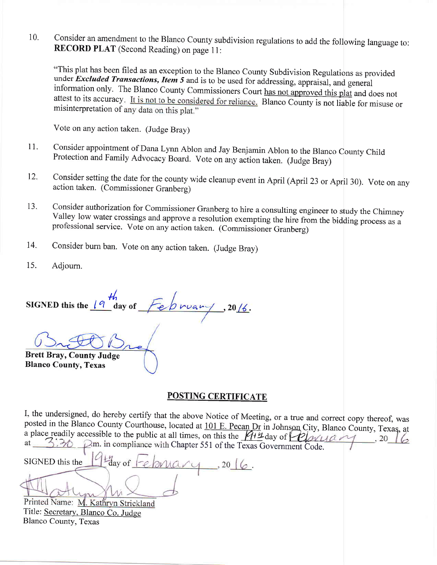10. Consider an amendment to the Blanco County subdivision regulations to add the following language to:<br>RECORD PLAT (Second Reading) on page 11:

"This plat has been filed as an exception to the Blanco County Subdivision Regulations as provided under *Excluded Transactions, Item 5* and is to be used for addressing, appraisal, and general information only. The Blanco County Commissioners Court has not approved this plat and does not attest to its accuracy. It is not to be considered for reliance. Blanco County is not liable for misuse or misinterpretation of any data on this plat."

Vote on any action taken. (Judge Bray)

- Consider appointment of Dana Lynn Ablon and Jay Benjamin Ablon to the Blanco County Child Protection and Family Advocacy Board. Vote on any action taken. (Judge Bray) 11.
- Consider setting the date for the county wide cleanup event in April (April 23 or April 30). Vote on any action taken. (Commissioner Granberg) 12.
- Consider authorization for Commissioner Granberg to hire a consulting engineer to study the Chimney Valley low water crossings and approve a resolution exempting the hire from the bidding process as a professional service. vote on any action taken. (commissioner Granberg) 13.
- Consider burn ban. Vote on any action taken. (Judge Bray) 14.
- Adjourn. 15.

n<br>day of February SIGNED this the  $\sqrt{q}$  $, 20/6.$ 

Brett Bray, County Judge

Blanco County, Texas

## POSTING CERTIFICATE

I, the undersigned, do hereby certify that the above Notice of Meeting, or a true and correct copy thereof, was posted in the Blanco County Courthouse, located at 101 E. Pecan Dr in Johnson City, Blanco County, Texas, at a place readily accessible to the public at all times, on this the  $\frac{\sqrt{4}}{4}$  day of  $\frac{\sqrt{2}}{2}$  and  $\frac{1}{6}$ , 20  $\frac{1}{6}$ 3.36  $\Box$ m. in compliance with Chapter 551 of the Texas Government Code.

 $\frac{1}{2}$ day of SIGNED this the ebruary  $\,$ , 20  $\,$   $\,$   $\,$ 

Printed Name: M. Kathryn Strickland Title: Secretary, Blanco Co. Judge Blanco County. Texas